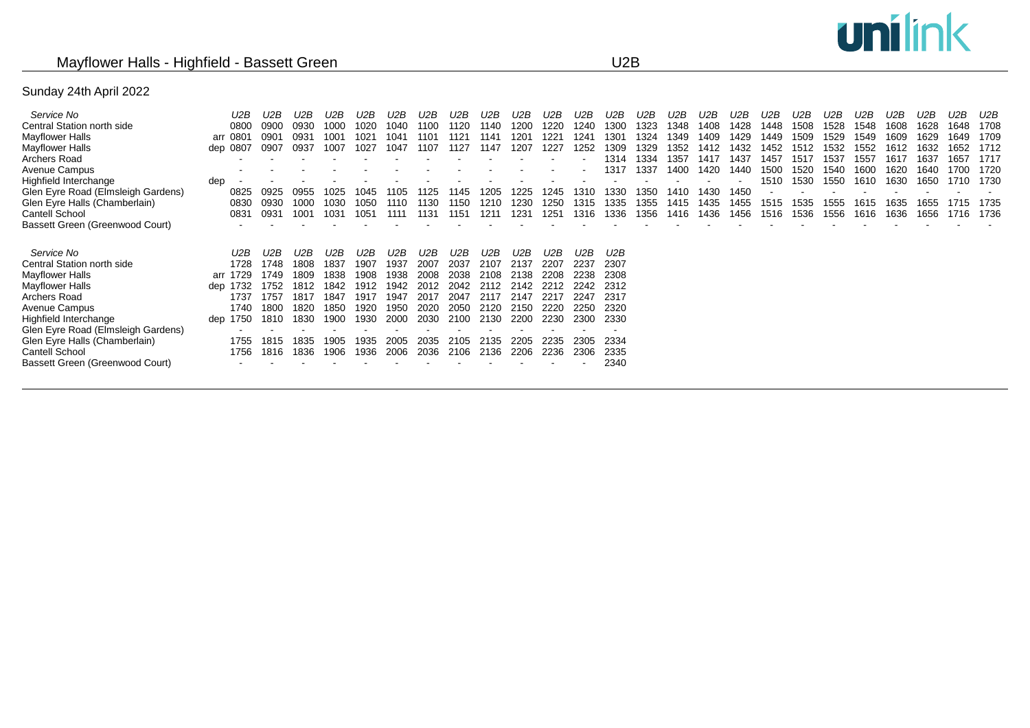# unilink

## Mayflower Halls - Highfield - Bassett Green U2B

### Sunday 24th April 2022

| Service No                         | U2B      | U2B  | U2B  | U2B  | U2B              | U2B  | U2B  | U2B  | U2B  | U2B  | U2B  | U2B  | U2B  | U2B  | U2B  | U2B  | U2B  | U2B  | U2B  | U2B  | U2B  | U2B  | U2B  | U2B  | U2B  |
|------------------------------------|----------|------|------|------|------------------|------|------|------|------|------|------|------|------|------|------|------|------|------|------|------|------|------|------|------|------|
| Central Station north side         | 0800     | 0900 | 0930 | 1000 | 020              | 1040 | 1100 | 1120 | 1140 | 1200 | 1220 | 1240 | 1300 | 1323 | 348  | 1408 | 1428 | 1448 | 1508 | 1528 | 1548 | 1608 | 1628 | 1648 | 1708 |
| Mayflower Halls                    | arr 0801 | 0901 | 0931 | 1001 | 102 <sup>2</sup> | 1041 | 1101 | 1121 | 1141 | 1201 | 122' | 1241 | 1301 | 1324 | 349  | 1409 | 1429 | 1449 | 1509 | 1529 | 1549 | 1609 | 1629 | 1649 | 1709 |
| Mayflower Halls                    | dep 0807 | 0907 | 0937 | 1007 | 027              | 1047 | 107  | 1127 | 1147 | 1207 | 1227 | 1252 | 1309 | 1329 | 352  | 1412 | 1432 | 1452 | 1512 | 1532 | 1552 | 1612 | 1632 | 1652 | 1712 |
| Archers Road                       |          |      |      |      |                  |      |      |      |      |      |      |      | 1314 | 1334 | 357  | 1417 | 1437 | 1457 | 1517 | 1537 | 1557 | 1617 | 1637 | 1657 | 1717 |
| Avenue Campus                      |          |      |      |      |                  |      |      |      |      |      |      |      | 1317 | 1337 | 400  | 1420 | 1440 | 1500 | 520  | 1540 | 1600 | 1620 | 1640 | 1700 | 1720 |
| Highfield Interchange              | dep      |      |      |      |                  |      |      |      |      |      |      |      |      |      |      |      |      | 1510 | 1530 | 1550 | 1610 | 1630 | 1650 | 1710 | 1730 |
| Glen Eyre Road (Elmsleigh Gardens) | 0825     | 0925 | 0955 | 1025 | 045              | 1105 | 1125 | 1145 | 205  | 1225 | 1245 | 1310 | 1330 | 1350 | 1410 | 1430 | 1450 |      |      |      |      |      |      |      |      |
| Glen Eyre Halls (Chamberlain)      | 0830     | 0930 | 1000 | 1030 | 1050             | 1110 | 1130 | 1150 | 1210 | 1230 | 1250 | 1315 | 1335 | 1355 | 1415 | 1435 | 1455 | 1515 | 1535 | 1555 | 1615 | 1635 | 655  |      | 1735 |
| Cantell School                     | 0831     | 0931 | 1001 | 1031 | 1051             | 1111 | 113′ | 1151 | 1211 | 1231 | 1251 | 1316 | 1336 | 1356 | 1416 | 1436 | 1456 | 1516 | 1536 | 1556 | 1616 | 1636 | 656  | 1716 | 1736 |
| Bassett Green (Greenwood Court)    |          |      |      |      |                  |      |      |      |      |      |      |      |      |      |      |      |      |      |      |      |      |      |      |      |      |
|                                    |          |      |      |      |                  |      |      |      |      |      |      |      |      |      |      |      |      |      |      |      |      |      |      |      |      |
| Service No                         | U2B      | U2B  | U2B  | U2B  | U2B              | U2B  | U2B  | U2B  | U2B  | U2B  | U2B  | U2B  | U2B  |      |      |      |      |      |      |      |      |      |      |      |      |
| Central Station north side         | 1728     | 1748 | 1808 | 1837 | 1907             | 1937 | 2007 | 2037 | 2107 | 2137 | 2207 | 2237 | 2307 |      |      |      |      |      |      |      |      |      |      |      |      |
| Mayflower Halls                    | arr 1729 | 1749 | 1809 | 1838 | 1908             | 1938 | 2008 | 2038 | 2108 | 2138 | 2208 | 2238 | 2308 |      |      |      |      |      |      |      |      |      |      |      |      |
| Mayflower Halls                    | dep 1732 | 1752 |      | 1842 | 912              | 1942 |      | 2042 | 2112 | 2142 | 2212 | 2242 | 2312 |      |      |      |      |      |      |      |      |      |      |      |      |
| Archers Road                       | 1737     | 1757 | 1817 | 1847 | -1917            | 1947 | 2017 | 2047 | 2117 | 2147 | 2217 | 2247 | 2317 |      |      |      |      |      |      |      |      |      |      |      |      |
| Avenue Campus                      | 1740     | 1800 | 1820 | 1850 | 1920             | 1950 | 2020 | 2050 | 2120 | 2150 | 2220 | 2250 | 2320 |      |      |      |      |      |      |      |      |      |      |      |      |
| Highfield Interchange              | dep 1750 | 1810 | 1830 | 1900 | 930              | 2000 | 2030 | 2100 | 2130 | 2200 | 2230 | 2300 | 2330 |      |      |      |      |      |      |      |      |      |      |      |      |
| Glen Eyre Road (Elmsleigh Gardens) |          |      |      |      |                  |      |      |      |      |      |      |      |      |      |      |      |      |      |      |      |      |      |      |      |      |
| Glen Eyre Halls (Chamberlain)      | 1755     | 1815 | 835  | 1905 | 935              | 2005 | 2035 | 2105 | 2135 | 2205 | 2235 | 2305 | 2334 |      |      |      |      |      |      |      |      |      |      |      |      |
| Cantell School                     | 1756     | 1816 | 1836 | 1906 | 936              | 2006 | 2036 | 2106 | 2136 | 2206 | 2236 | 2306 | 2335 |      |      |      |      |      |      |      |      |      |      |      |      |
| Bassett Green (Greenwood Court)    |          |      |      |      |                  |      |      |      |      |      |      |      | 2340 |      |      |      |      |      |      |      |      |      |      |      |      |
|                                    |          |      |      |      |                  |      |      |      |      |      |      |      |      |      |      |      |      |      |      |      |      |      |      |      |      |